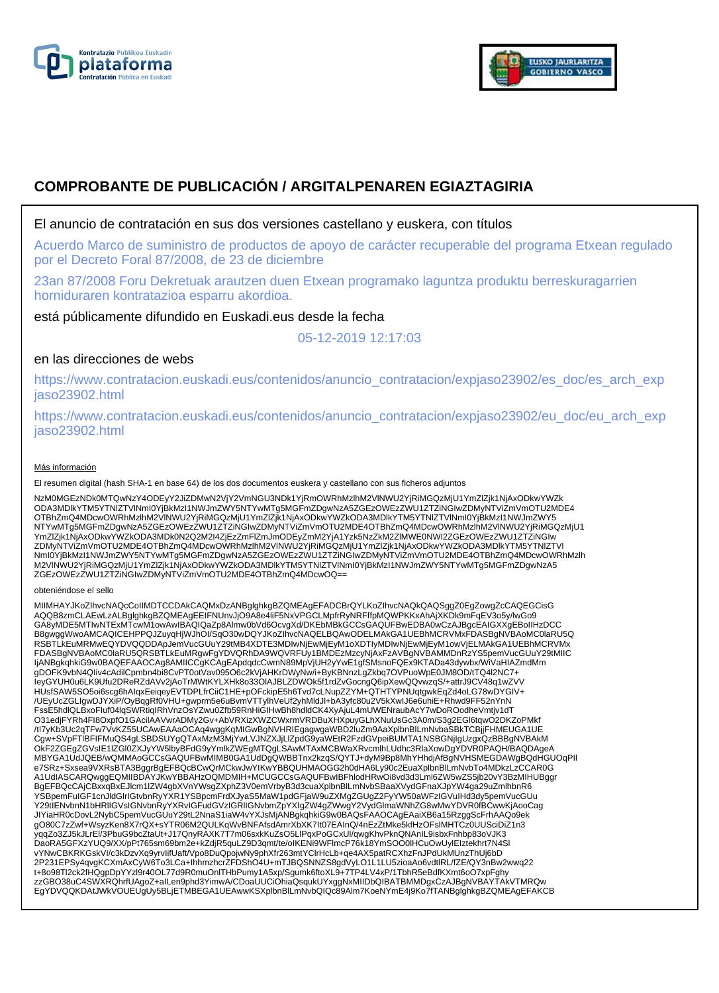



# **COMPROBANTE DE PUBLICACIÓN / ARGITALPENAREN EGIAZTAGIRIA**

### El anuncio de contratación en sus dos versiones castellano y euskera, con títulos

Acuerdo Marco de suministro de productos de apoyo de carácter recuperable del programa Etxean regulado por el Decreto Foral 87/2008, de 23 de diciembre

23an 87/2008 Foru Dekretuak arautzen duen Etxean programako laguntza produktu berreskuragarrien horniduraren kontratazioa esparru akordioa.

está públicamente difundido en Euskadi.eus desde la fecha

05-12-2019 12:17:03

## en las direcciones de webs

https://www.contratacion.euskadi.eus/contenidos/anuncio\_contratacion/expjaso23902/es\_doc/es\_arch\_exp jaso23902.html

https://www.contratacion.euskadi.eus/contenidos/anuncio\_contratacion/expjaso23902/eu\_doc/eu\_arch\_exp jaso23902.html

#### Más información

El resumen digital (hash SHA-1 en base 64) de los dos documentos euskera y castellano con sus ficheros adjuntos

NzM0MGEzNDk0MTQwNzY4ODEyY2JiZDMwN2VjY2VmNGU3NDk1YjRmOWRhMzlhM2VlNWU2YjRiMGQzMjU1YmZlZjk1NjAxODkwYWZk ODA3MDlkYTM5YTNlZTVlNmI0YjBkMzI1NWJmZWY5NTYwMTg5MGFmZDgwNzA5ZGEzOWEzZWU1ZTZiNGIwZDMyNTViZmVmOTU2MDE4 OTBhZmQ4MDcwOWRhMzlhM2VlNWU2YjRiMGQzMjU1YmZlZjk1NjAxODkwYWZkODA3MDlkYTM5YTNlZTVlNml0YjBkMzI1NWJmZWY5<br>NTYwMTg5MGFmZDgwNzA5ZGEzOWEzZWU1ZTZiNGIwZDMyNTViZmVmOTU2MDE4OTBhZmQ4MDcwOWRhMzlhM2VlNWU2YjRiMGQzMjU1 YmZlZjk1NjAxODkwYWZkODA3MDk0N2Q2M2I4ZjEzZmFlZmJmODEyZmM2YjA1Yzk5NzZkM2ZlMWE0NWI2ZGEzOWEzZWU1ZTZiNGIw ZDMyNTViZmVmOTU2MDE4OTBhZmQ4MDcwOWRhMzlhM2VlNWU2YjRiMGQzMjU1YmZlZjk1NjAxODkwYWZkODA3MDlkYTM5YTNlZTVl NmI0YjBkMzI1NWJmZWY5NTYwMTg5MGFmZDgwNzA5ZGEzOWEzZWU1ZTZiNGIwZDMyNTViZmVmOTU2MDE4OTBhZmQ4MDcwOWRhMzlh M2VlNWU2YjRiMGQzMjU1YmZlZjk1NjAxODkwYWZkODA3MDlkYTM5YTNlZTVlNmI0YjBkMzI1NWJmZWY5NTYwMTg5MGFmZDgwNzA5 ZGEzOWEzZWU1ZTZiNGIwZDMyNTViZmVmOTU2MDE4OTBhZmQ4MDcwOQ==

#### obteniéndose el sello

MIIMHAYJKoZIhvcNAQcCoIIMDTCCDAkCAQMxDzANBglghkgBZQMEAgEFADCBrQYLKoZIhvcNAQkQAQSggZ0EgZowgZcCAQEGCisG AQQB8zmCLAEwLzALBglghkgBZQMEAgEEIFNUnvJjO9A8e4liF5NxVPGCLMpfrRyNRFffpMQWPKKxAhAjXKDk9mFqEV3o5y/lwGo9 GA8yMDE5MTIwNTExMTcwM1owAwIBAQIQaZp8Almw0bVd6OcvgXd/DKEbMBkGCCsGAQUFBwEDBA0wCzAJBgcEAIGXXgEBoIIHzDCC B8gwggWwoAMCAQICEHPPQJZuyqHjWJhOI/SqO30wDQYJKoZIhvcNAQELBQAwODELMAkGA1UEBhMCRVMxFDASBgNVBAoMC0laRU5Q RSBTLkEuMRMwEQYDVQQDDApJemVucGUuY29tMB4XDTE3MDIwNjEwMjEyM1oXDTIyMDIwNjEwMjEyM1owVjELMAkGA1UEBhMCRVMx<br>FDASBgNVBAoMC0laRU5QRSBTLkEuMRgwFgYDVQRhDA9WQVRFUy1BMDEzMzcyNjAxFzAVBgNVBAMMDnRzYS5pemVucGUuY29tMIIC IjANBgkqhkiG9w0BAQEFAAOCAg8AMIICCgKCAgEApdqdcCwmN89MpVjUH2yYwE1gfSMsnoFQEx9KTADa43dywbx/WiVaHIAZmdMm gDOFK9vbN4QIiv4cAdilCpmbn4bi8CvPT0otVav095O6c2kVjAHKrDWyNw/i+ByKBNnzLgZkbq7OVPuoWpE0JM8OD/tTQ4l2NC7+ IeyGYUH0u6LK9Ufu2DReRZdAVv2jAoTrMWtKYLXHk8o33OlAJBLZDWOk5f1rdZvGocngQ6ipXewQQvwzqS/+attrJ9CV48q1wZVV HUsfSAW5SO5oi6scg6hAIqxEeiqeyEVTDPLfrCiiC1HE+pOFckipE5h6Tvd7cLNupZZYM+QTHTYPNUqtgwkEqZd4oLG78wDYGIV+ /UEyUcZGLIgwDJYXiP/OyBqgRf0VHU+gwprm5e6uBvmVTTylhVeUf2yhMldJl+bA3yfc80u2V5kXwIJ6e6uhiE+Rhwd9FF52nYnN FssE5hdlQLBxoFIuf04lqSWRtiqIRhVnzOsYZwu0Zfb59RnHiGIHwBh8hdldCK4XyAjuL4mUWENraubAcY7wDoROodheVmtjv1dT O31edjFYRh4FI8OxpfO1GAcilAAVwrADMy2Gv+AbVRXizXWZCWxrmVRDBuXHXpuyGLhXNuUsGc3A0m/S3g2EGl6tqwO2DKZoPMkf<br>/tl7yKb3Uc2qTFw7VvKZ55UCAwEAAaOCAq4wggKqMlGwBgNVHRIEgagwgaWBD2luZm9AaXplbnBlLmNvbaSBkTCBjjFHMEUGA1UE Cgw+SVpFTlBFIFMuQS4gLSBDSUYgQTAxMzM3MjYwLVJNZXJjLlZpdG9yaWEtR2FzdGVpeiBUMTA1NSBGNjIgUzgxQzBBBgNVBAkM OkF2ZGEgZGVsIE1lZGl0ZXJyYW5lbyBFdG9yYmlkZWEgMTQgLSAwMTAxMCBWaXRvcmlhLUdhc3RlaXowDgYDVR0PAQH/BAQDAgeA MBYGA1UdJQEB/wQMMAoGCCsGAQUFBwMIMB0GA1UdDgQWBBTnx2kzqS/QYTJ+dyM9Bp8MhYHhdjAfBgNVHSMEGDAWgBQdHGUOqPIl e7SRz+Sxsea9VXRsBTA3BggrBgEFBQcBCwQrMCkwJwYIKwYBBQUHMAOGG2h0dHA6Ly90c2EuaXplbnBlLmNvbTo4MDkzLzCCAR0G A1UdIASCARQwggEQMIIBDAYJKwYBBAHzOQMDMIH+MCUGCCsGAQUFBwIBFhlodHRwOi8vd3d3Lml6ZW5wZS5jb20vY3BzMIHUBggr BgEFBQcCAjCBxxqBxEJlcm1lZW4gbXVnYWsgZXphZ3V0emVrbyB3d3cuaXplbnBlLmNvbSBaaXVydGFnaXJpYW4ga29uZmlhbnR6 YSBpemFuIGF1cnJldGlrIGtvbnRyYXR1YSBpcmFrdXJyaS5MaW1pdGFjaW9uZXMgZGUgZ2FyYW50aWFzIGVuIHd3dy5pemVucGUu<br>Y29tIENvbnN1bHRIIGVsIGNvbnRyYXRvIGFudGVzIGRIIGNvbmZpYXIgZW4gZWwgY2VydGlmaWNhZG8wMwYDVR0fBCwwKjAooCag JIYiaHR0cDovL2NybC5pemVucGUuY29tL2NnaS1iaW4vYXJsMjANBgkqhkiG9w0BAQsFAAOCAgEAaiXB6a15RzggScFrhAAQo9ek gO80C7zZwf+WsyzKen8X7rQX+sYTR06M2QULKqWvBNFAfsdAmrXbXK7It07EAInQ/4nEzZtMke5kfHzOFslMHTCz0UUSciDiZ1n3 yqqZo3ZJ5kJLrEl/3PbuG9bcZtaUt+J17QnyRAXK7T7m06sxkKuZsO5LlPqxPoGCxUl/qwgKhvPknQNAnIL9isbxFnhbp83oVJK3<br>DaoRA5GFXzYUQ9/XX/pPt765sm69bm2e+kZdjR5quLZ9D3qmt/te/oIKENi9WFlmcP76k18YmSOO0lHCuOwUylEIztekhrt7N4Sl vYNwCBKRKGskVI/c3kDzvXq9yrvIifUaft/Vpo8DuQpojwNy9phXfr263mtYClrHcLb+qe4AX5patRCXhzFnJPdUkMUnzThUj6bD 2P231EPSy4qvgKCXmAxCyW6To3LCa+IhhmzhcrZFDShO4U+mTJBQSNNZS8gdVyLO1L1LU5zioaAo6vdtlRL/fZE/QY3nBw2wwq22<br>t+8o98Tl2ck2fHQgpDpYYzl9r40OL77d9R0muOnlTHbPumy1A5xp/Sgumk6ftoXL9+7TP4LV4xP/1TbhR5eBdfKXmt6oO7xpFghy<br>zzGBO38uC4SWXRQhrfUA EgYDVQQKDAtJWkVOUEUgUy5BLjETMBEGA1UEAwwKSXplbnBlLmNvbQIQc89Alm7KoeNYmE4j9Ko7fTANBglghkgBZQMEAgEFAKCB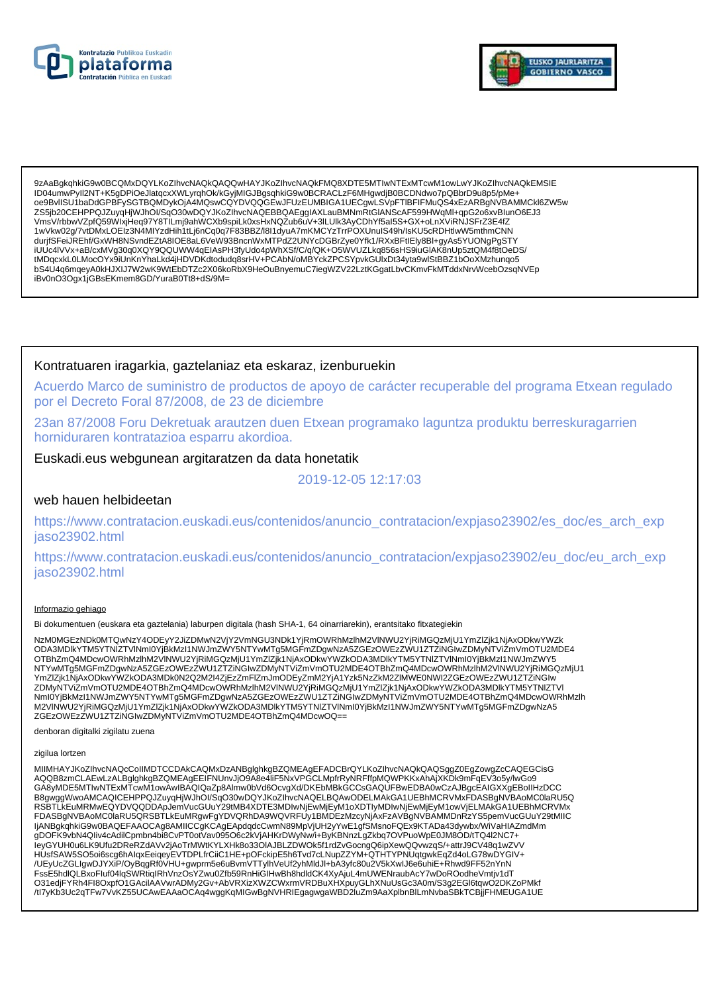



9zAaBgkghkiG9w0BCQMxDQYLKoZlhvcNAQkQAQQwHAYJKoZlhvcNAQkFMQ8XDTE5MTIwNTExMTcwM1owLwYJKoZlhvcNAQkEMSIE ID04umwPyll2NT+K5qDPiOeJlatgcxXWLyrghOk/kGyiMIGJBgsghkiG9w0BCRACLzF6MHqwdjB0BCDNdwo7pQBbrD9u8p5/pMe+ 0e9BvlISU1baDdGPBFySGTBQMDykOjA4MQswCQYDVQQGEwJFUzEUMBIGA1UECgwLSVpFTIBFIFMuQS4xEzARBgNVBAMMCkl6ZW5w ZS5jb20CEHPPQJZuyqHjWJhOl/SqO30wDQYJKoZlhvcNAQEBBQAEgglAXLauBMNmRtGIANScAF599HWqMl+qpG2o6xvBlunO6EJ3 VmsV/rbbwVZpfQ59WIxjHeq97Y8TILmj9ahWCXb9spiLk0xsHxNQZub6uV+3lLUlk3AyCDhYf5al5S+GX+oLnXViRNJSFrZ3E4fZ 1wVkw02g/7vtDMxLOEIz3N4MIYzdHih1tLj6nCq0q7F83BBZ/l8l1dyuA7mKMCYzTrrPOXUnuIS49h/IsKU5cRDHtlwW5mthmCNN durjfSFeiJREhf/GxWH8NSvndEZtA8IOE8aL6VeW93BncnWxMTPdZ2UNYcDGBrZye0Yfk1/RXxBFtlEly8Bl+gyAs5YUONgPgSTY iuucallyvx+aB/cxMVg30q0XQY9QQUVWV4qEIAsPH3fyUdo4pWhXSf/C/q/QK+O5WVUZLkq856sHS9iuGIAK8nUp5ztQM4f8f0eDS/<br>tMDqcxkL0LMocOYx9iUnKnYhaLkd4jHDVDKdtodudq8srHV+PCAbN/oMBYckZPCSYpvkGUlxDt34yta9wlStBBZ1bOoXMzhunqo5<br>bS4U4q6mqeyA0kHJXI iBv0nO3Ogx1jGBsEKmem8GD/YuraB0Tt8+dS/9M=

### Kontratuaren iragarkia, gaztelaniaz eta eskaraz, izenburuekin

Acuerdo Marco de suministro de productos de apoyo de carácter recuperable del programa Etxean regulado por el Decreto Foral 87/2008, de 23 de diciembre

23an 87/2008 Foru Dekretuak arautzen duen Etxean programako laguntza produktu berreskuragarrien horniduraren kontratazioa esparru akordioa.

### Euskadi.eus webgunean argitaratzen da data honetatik

2019-12-05 12:17:03

#### web hauen helbideetan

https://www.contratacion.euskadi.eus/contenidos/anuncio\_contratacion/expjaso23902/es\_doc/es\_arch\_exp jaso23902.html

https://www.contratacion.euskadi.eus/contenidos/anuncio contratacion/expjaso23902/eu doc/eu arch exp jaso23902.html

#### Informazio gehiago

Bi dokumentuen (euskara eta gaztelania) laburpen digitala (hash SHA-1, 64 oinarriarekin), erantsitako fitxategiekin

NzM0MGEzNDk0MTQwNzY4ODEyY2JiZDMwN2VjY2VmNGU3NDk1YjRmOWRhMzlhM2VlNWU2YjRiMGQzMjU1YmZlZjk1NjAxODkwYWZk<br>ODA3MDlkYTM5YTNlZTVlNml0YjBkMzl1NWJmZWY5NTYwMTg5MGFmZDgwNzA5ZGEzOWEzZWU1ZTZiNGIwZDMyNTViZmVmOTU2MDE4 OTBhZmQ4MDcwOWRhMzIhM2VINWU2YjRiMGQzMjU1YmZlZjk1NjAxODkwYWZkODA3MDlkYTM5YTNlZTVINml0YjBkMzl1NWJmZWY5 NTYwMTg5MGFmZDgwNzA5ZGEzOWEzZWU1ZTZINGIwZDMyNTViZmVmOTU2MDE4OTBhZmQ4MDcwOWRhMzInM2VINWU2YjRiMGQzMjU1 YmZlZjk1NjAxODkwYWZkODA3MDk0N2Q2M2I4ZjEzZmFlZmJmODEyZmM2YjA1Yzk5NzZkM2ZlMWE0NWI2ZGEzOWEzZWU1ZTŹiNGIw ZDMyNTViZmVmOTU2MDE4OTBhZmQ4MDcwOWRhMzlhM2VINWU2YjRiMGQzMjU1YmZlZjk1NjAxODkwYWZkODA3MDlkYTM5YTNIZTVI Nml0YjBkMzI1NWJmZWY5NTYwMTg5MGFmZDgwNzA5ZGEzOWEzZWU1ZTZiNGlwZDMyNTViZmVmOTU2MDE4OTBhZmQ4MDcwOWRhMzlh<br>M2VINWU2YjRiMGQzMjU1YmZlZjk1NjAxODkwYWZkODA3MDlkYTM5YTNlZTVlNml0YjBkMzI1NWJmZWY5NTYwMTg5MGFmZDgwNzA5 ZGEzOWEzZWU1ZTZiNGIwZDMyNTViZmVmOTU2MDE4OTBhZmQ4MDcwOQ==

denboran digitalki zigilatu zuena

#### zigilua lortzen

MIIMHAYJKoZIhvcNAQcCoIIMDTCCDAkCAQMxDzANBglghkgBZQMEAgEFADCBrQYLKoZIhvcNAQkQAQSggZ0EgZowgZcCAQEGCisG AQQB8zmCLAEwLzALBglghkgBZQMEAgEEIFNUnvJjO9A8e4liF5NxVPGCLMpfrRyNRFffpMQWPKKxAhAjXKDk9mFqEV3o5y/lwGo9 GA8yMDE5MTIwNTExMTcwM1owAwIBAQIQaZp8AImw0bVd6OcvgXd/DKEbMBkGCCsGAQUFBwEDBA0wCzAJBgcEAIGXXgEBoIIHzDCC B8gwggWwoAMCAQICEHPPQJZuyqHjWJhOI/SqO30wDQYJKoZInvcNAQELBQAwODELMAkGA1UEBhMCRVMxFDASBgNVBAoMC0laRU5Q RSBTLKEuMRMwEQYDVQQDDApJemVucGUuY29tMB4XDTE3MDlwNjEwMjEyM1oXDTIyMDlwNjEwMjEyM1owVjELMAkGA1UEBhMCRVMx<br>FDASBgNVBAoMC0laRU5QRSBTLkEuMRgwFgYDVQRhDA9WQVRFUy1BMDEzMzcyNjAxFzAVBgNVBAMMDnRzYS5pemVucGUuY29tMIIC ljANBgkqhkiG9w0BAQEFAAOCAg8AMIICCgKCAgEApdqdcCwmN89MpVjUH2yYwE1gfSMsnoFQEx9KTADa43dywbx/WiVaHIAZmdMm<br>gDOFK9vbN4Qliv4cAdilCpmbn4bi8CvPT0otVav095O6c2kVjAHKrDWyNw/i+ByKBNnzLgZkbq7OVPuoWpE0JM8OD/tTQ4l2NC7+ leyGYUH0u6LK9Ufu2DReRZdAVv2jAoTrMWtKYLXHk8o33OIAJBLZDWOk5f1rdZvGocngQ6ipXewQQvwzqS/+attrJ9CV48q1wZVV HUsfSAW5SO5oi6scg6hAlqxEeiqeyEVTDPLfrCiiC1HE+pOFckipE5h6Tvd7cLNupZZYM+QTHTYPNUqtgwkEqZd4oLG78wDYGIV+ /UEyUcZGLIgwDJYXiP/OyBqqRf0VHU+gwprm5e6uBvmVTTylhVeUf2yhMldJl+bA3yfc80u2V5kXwIJ6e6uhiE+Rhwd9FF52nYnN FssE5hdlQLBxoFluf04lqSWRtiqIRhVnzOsYZwu0Zfb59RnHiGIHwBh8hdldCK4XyAjuL4mUWENraubAcY7wDoROodheVmtjv1dT O31edjFYRh4Fl8OxpfO1GAcilAAVwrADMy2Gv+AbVRXizXWZCWxrmVRDBuXHXpuyGLhXNuUsGc3A0m/S3g2EGl6tqwO2DKZoPMkf /tl7yKb3Uc2qTFw7VvKZ55UCAwEAAaOCAq4wggKqMIGwBgNVHRIEgagwgaWBD2IuZm9AaXplbnBlLmNvbaSBkTCBjjFHMEUGA1UE